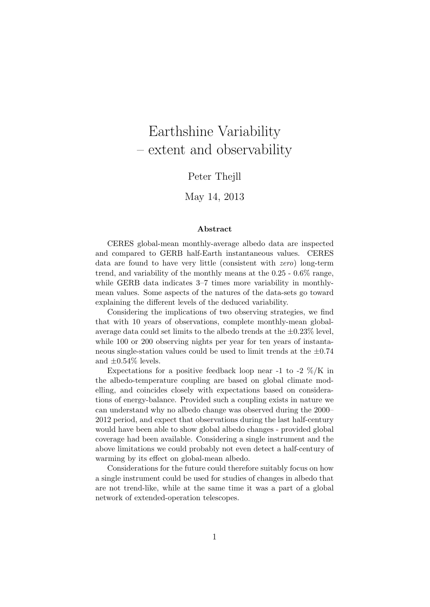# Earthshine Variability – extent and observability

### Peter Thejll

### May 14, 2013

#### Abstract

CERES global-mean monthly-average albedo data are inspected and compared to GERB half-Earth instantaneous values. CERES data are found to have very little (consistent with zero) long-term trend, and variability of the monthly means at the 0.25 - 0.6% range, while GERB data indicates 3–7 times more variability in monthlymean values. Some aspects of the natures of the data-sets go toward explaining the different levels of the deduced variability.

Considering the implications of two observing strategies, we find that with 10 years of observations, complete monthly-mean globalaverage data could set limits to the albedo trends at the  $\pm 0.23\%$  level, while 100 or 200 observing nights per year for ten years of instantaneous single-station values could be used to limit trends at the  $\pm 0.74$ and  $\pm 0.54\%$  levels.

Expectations for a positive feedback loop near -1 to -2  $\%/K$  in the albedo-temperature coupling are based on global climate modelling, and coincides closely with expectations based on considerations of energy-balance. Provided such a coupling exists in nature we can understand why no albedo change was observed during the 2000– 2012 period, and expect that observations during the last half-century would have been able to show global albedo changes - provided global coverage had been available. Considering a single instrument and the above limitations we could probably not even detect a half-century of warming by its effect on global-mean albedo.

Considerations for the future could therefore suitably focus on how a single instrument could be used for studies of changes in albedo that are not trend-like, while at the same time it was a part of a global network of extended-operation telescopes.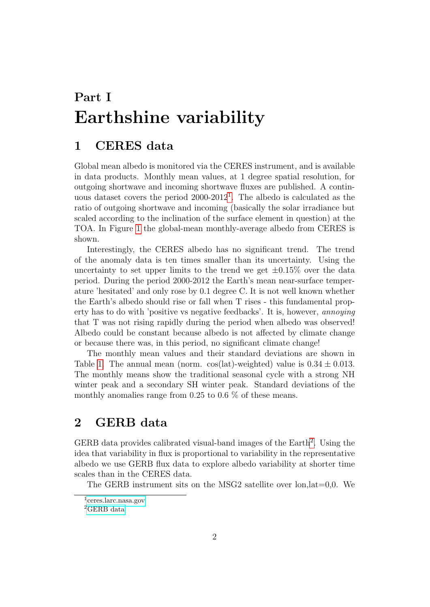# Part I Earthshine variability

## 1 CERES data

Global mean albedo is monitored via the CERES instrument, and is available in data products. Monthly mean values, at 1 degree spatial resolution, for outgoing shortwave and incoming shortwave fluxes are published. A continuous dataset covers the period  $2000-2012<sup>1</sup>$  $2000-2012<sup>1</sup>$  $2000-2012<sup>1</sup>$ . The albedo is calculated as the ratio of outgoing shortwave and incoming (basically the solar irradiance but scaled according to the inclination of the surface element in question) at the TOA. In Figure [1](#page-9-0) the global-mean monthly-average albedo from CERES is shown.

Interestingly, the CERES albedo has no significant trend. The trend of the anomaly data is ten times smaller than its uncertainty. Using the uncertainty to set upper limits to the trend we get  $\pm 0.15\%$  over the data period. During the period 2000-2012 the Earth's mean near-surface temperature 'hesitated' and only rose by 0.1 degree C. It is not well known whether the Earth's albedo should rise or fall when T rises - this fundamental property has to do with 'positive vs negative feedbacks'. It is, however, annoying that T was not rising rapidly during the period when albedo was observed! Albedo could be constant because albedo is not affected by climate change or because there was, in this period, no significant climate change!

The monthly mean values and their standard deviations are shown in Table [1.](#page-7-0) The annual mean (norm.  $\cos(\text{lat})$ -weighted) value is  $0.34 \pm 0.013$ . The monthly means show the traditional seasonal cycle with a strong NH winter peak and a secondary SH winter peak. Standard deviations of the monthly anomalies range from 0.25 to 0.6 % of these means.

## 2 GERB data

GERB data provides calibrated visual-band images of the Earth<sup>[2](#page-1-1)</sup>. Using the idea that variability in flux is proportional to variability in the representative albedo we use GERB flux data to explore albedo variability at shorter time scales than in the CERES data.

The GERB instrument sits on the MSG2 satellite over lon,lat=0,0. We

<span id="page-1-0"></span><sup>1</sup> [ceres.larc.nasa.gov](http://ceres.larc.nasa.gov/cmip5_data.php)

<span id="page-1-1"></span><sup>2</sup>[GERB data](http://ggsps.rl.ac.uk/Released.html)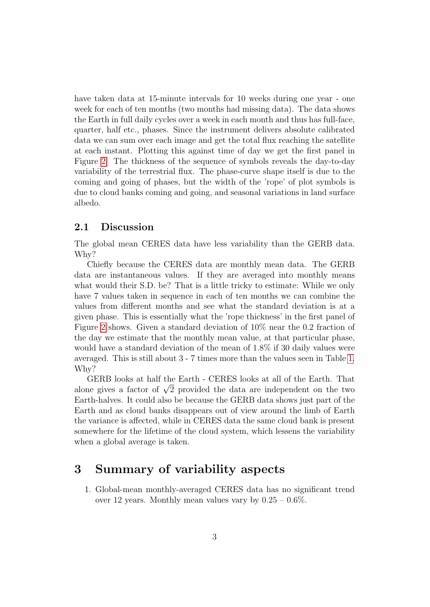have taken data at 15-minute intervals for 10 weeks during one year - one week for each of ten months (two months had missing data). The data shows the Earth in full daily cycles over a week in each month and thus has full-face, quarter, half etc., phases. Since the instrument delivers absolute calibrated data we can sum over each image and get the total flux reaching the satellite at each instant. Plotting this against time of day we get the first panel in Figure [2.](#page-10-0) The thickness of the sequence of symbols reveals the day-to-day variability of the terrestrial flux. The phase-curve shape itself is due to the coming and going of phases, but the width of the 'rope' of plot symbols is due to cloud banks coming and going, and seasonal variations in land surface albedo.

### 2.1 Discussion

The global mean CERES data have less variability than the GERB data. Why?

Chiefly because the CERES data are monthly mean data. The GERB data are instantaneous values. If they are averaged into monthly means what would their S.D. be? That is a little tricky to estimate: While we only have 7 values taken in sequence in each of ten months we can combine the values from different months and see what the standard deviation is at a given phase. This is essentially what the 'rope thickness' in the first panel of Figure [2](#page-10-0) shows. Given a standard deviation of 10% near the 0.2 fraction of the day we estimate that the monthly mean value, at that particular phase, would have a standard deviation of the mean of 1.8% if 30 daily values were averaged. This is still about 3 - 7 times more than the values seen in Table [1.](#page-7-0) Why?

GERB looks at half the Earth - CERES looks at all of the Earth. That GERB looks at half the Earth - CERES looks at all of the Earth. That<br>alone gives a factor of  $\sqrt{2}$  provided the data are independent on the two Earth-halves. It could also be because the GERB data shows just part of the Earth and as cloud banks disappears out of view around the limb of Earth the variance is affected, while in CERES data the same cloud bank is present somewhere for the lifetime of the cloud system, which lessens the variability when a global average is taken.

## <span id="page-2-0"></span>3 Summary of variability aspects

1. Global-mean monthly-averaged CERES data has no significant trend over 12 years. Monthly mean values vary by  $0.25 - 0.6\%$ .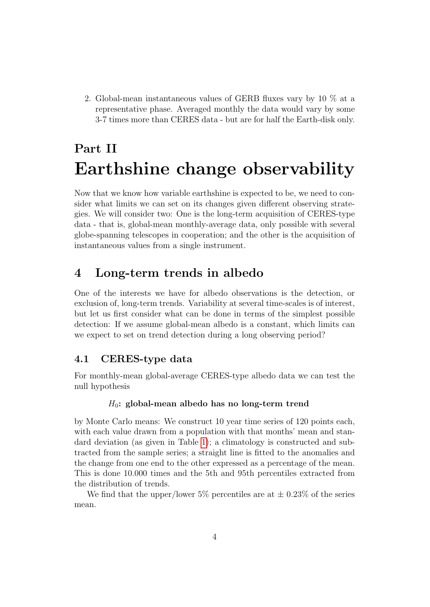2. Global-mean instantaneous values of GERB fluxes vary by 10 % at a representative phase. Averaged monthly the data would vary by some 3-7 times more than CERES data - but are for half the Earth-disk only.

# Part II Earthshine change observability

Now that we know how variable earthshine is expected to be, we need to consider what limits we can set on its changes given different observing strategies. We will consider two: One is the long-term acquisition of CERES-type data - that is, global-mean monthly-average data, only possible with several globe-spanning telescopes in cooperation; and the other is the acquisition of instantaneous values from a single instrument.

## 4 Long-term trends in albedo

One of the interests we have for albedo observations is the detection, or exclusion of, long-term trends. Variability at several time-scales is of interest, but let us first consider what can be done in terms of the simplest possible detection: If we assume global-mean albedo is a constant, which limits can we expect to set on trend detection during a long observing period?

### 4.1 CERES-type data

For monthly-mean global-average CERES-type albedo data we can test the null hypothesis

#### $H_0$ : global-mean albedo has no long-term trend

by Monte Carlo means: We construct 10 year time series of 120 points each, with each value drawn from a population with that months' mean and standard deviation (as given in Table [1\)](#page-7-0); a climatology is constructed and subtracted from the sample series; a straight line is fitted to the anomalies and the change from one end to the other expressed as a percentage of the mean. This is done 10.000 times and the 5th and 95th percentiles extracted from the distribution of trends.

We find that the upper/lower 5% percentiles are at  $\pm$  0.23% of the series mean.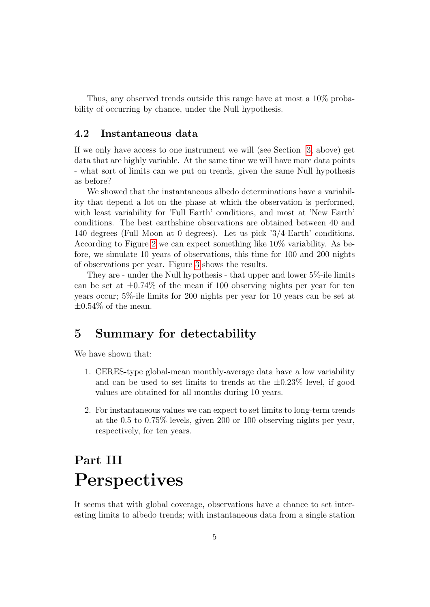Thus, any observed trends outside this range have at most a 10% probability of occurring by chance, under the Null hypothesis.

## 4.2 Instantaneous data

If we only have access to one instrument we will (see Section [3,](#page-2-0) above) get data that are highly variable. At the same time we will have more data points - what sort of limits can we put on trends, given the same Null hypothesis as before?

We showed that the instantaneous albedo determinations have a variability that depend a lot on the phase at which the observation is performed, with least variability for 'Full Earth' conditions, and most at 'New Earth' conditions. The best earthshine observations are obtained between 40 and 140 degrees (Full Moon at 0 degrees). Let us pick '3/4-Earth' conditions. According to Figure [2](#page-10-0) we can expect something like 10% variability. As before, we simulate 10 years of observations, this time for 100 and 200 nights of observations per year. Figure [3](#page-11-0) shows the results.

They are - under the Null hypothesis - that upper and lower 5%-ile limits can be set at  $\pm 0.74\%$  of the mean if 100 observing nights per year for ten years occur; 5%-ile limits for 200 nights per year for 10 years can be set at  $\pm 0.54\%$  of the mean.

## 5 Summary for detectability

We have shown that:

- 1. CERES-type global-mean monthly-average data have a low variability and can be used to set limits to trends at the  $\pm 0.23\%$  level, if good values are obtained for all months during 10 years.
- 2. For instantaneous values we can expect to set limits to long-term trends at the 0.5 to 0.75% levels, given 200 or 100 observing nights per year, respectively, for ten years.

# Part III Perspectives

It seems that with global coverage, observations have a chance to set interesting limits to albedo trends; with instantaneous data from a single station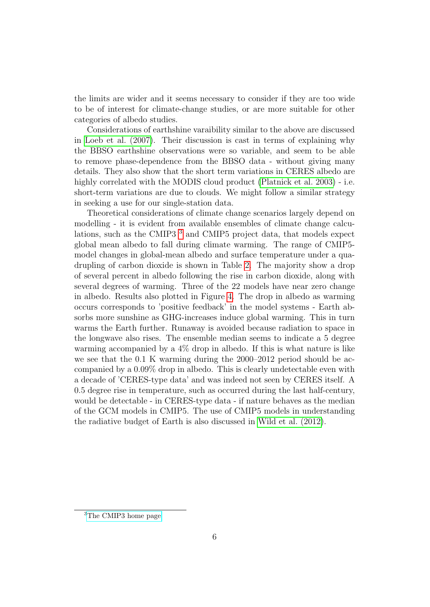the limits are wider and it seems necessary to consider if they are too wide to be of interest for climate-change studies, or are more suitable for other categories of albedo studies.

Considerations of earthshine varaibility similar to the above are discussed in [Loeb et al. \(2007\)](#page-6-0). Their discussion is cast in terms of explaining why the BBSO earthshine observations were so variable, and seem to be able to remove phase-dependence from the BBSO data - without giving many details. They also show that the short term variations in CERES albedo are highly correlated with the MODIS cloud product [\(Platnick et al. 2003\)](#page-6-1) - i.e. short-term variations are due to clouds. We might follow a similar strategy in seeking a use for our single-station data.

Theoretical considerations of climate change scenarios largely depend on modelling - it is evident from available ensembles of climate change calculations, such as the CMIP3 [3](#page-5-0) and CMIP5 project data, that models expect global mean albedo to fall during climate warming. The range of CMIP5 model changes in global-mean albedo and surface temperature under a quadrupling of carbon dioxide is shown in Table [2.](#page-8-0) The majority show a drop of several percent in albedo following the rise in carbon dioxide, along with several degrees of warming. Three of the 22 models have near zero change in albedo. Results also plotted in Figure [4.](#page-12-0) The drop in albedo as warming occurs corresponds to 'positive feedback' in the model systems - Earth absorbs more sunshine as GHG-increases induce global warming. This in turn warms the Earth further. Runaway is avoided because radiation to space in the longwave also rises. The ensemble median seems to indicate a 5 degree warming accompanied by a 4% drop in albedo. If this is what nature is like we see that the 0.1 K warming during the 2000–2012 period should be accompanied by a 0.09% drop in albedo. This is clearly undetectable even with a decade of 'CERES-type data' and was indeed not seen by CERES itself. A 0.5 degree rise in temperature, such as occurred during the last half-century, would be detectable - in CERES-type data - if nature behaves as the median of the GCM models in CMIP5. The use of CMIP5 models in understanding the radiative budget of Earth is also discussed in [Wild et al. \(2012\)](#page-6-2).

<span id="page-5-0"></span><sup>3</sup>[The CMIP3 home page](https://esg.llnl.gov:8443/home/publicHomePage.do)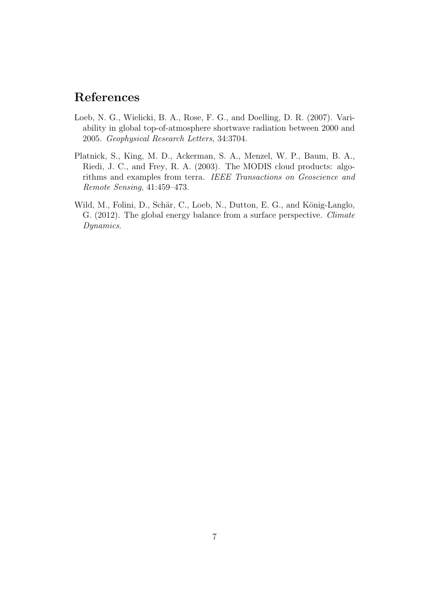# References

- <span id="page-6-0"></span>Loeb, N. G., Wielicki, B. A., Rose, F. G., and Doelling, D. R. (2007). Variability in global top-of-atmosphere shortwave radiation between 2000 and 2005. Geophysical Research Letters, 34:3704.
- <span id="page-6-1"></span>Platnick, S., King, M. D., Ackerman, S. A., Menzel, W. P., Baum, B. A., Riedi, J. C., and Frey, R. A. (2003). The MODIS cloud products: algorithms and examples from terra. IEEE Transactions on Geoscience and Remote Sensing, 41:459–473.
- <span id="page-6-2"></span>Wild, M., Folini, D., Schär, C., Loeb, N., Dutton, E. G., and König-Langlo, G. (2012). The global energy balance from a surface perspective. Climate Dynamics.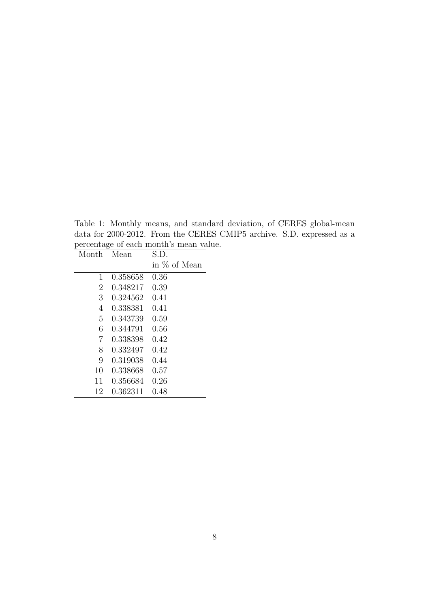<span id="page-7-0"></span>Table 1: Monthly means, and standard deviation, of CERES global-mean data for 2000-2012. From the CERES CMIP5 archive. S.D. expressed as a percentage of each month's mean value.

| Month          | Mean     | S.D.         |
|----------------|----------|--------------|
|                |          | in % of Mean |
| $\mathbf{1}$   | 0.358658 | 0.36         |
| $\overline{2}$ | 0.348217 | 0.39         |
| 3              | 0.324562 | 0.41         |
| 4              | 0.338381 | 0.41         |
| 5              | 0.343739 | 0.59         |
| 6              | 0.344791 | 0.56         |
| 7              | 0.338398 | 0.42         |
| 8              | 0.332497 | 0.42         |
| 9              | 0.319038 | 0.44         |
| 10             | 0.338668 | 0.57         |
| 11             | 0.356684 | 0.26         |
| 12             | 0.362311 | 0.48         |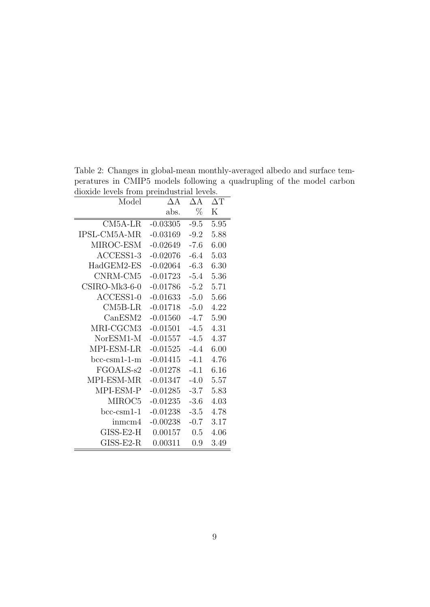| aloxiae revels from prematastrial revels.<br>Model | $\Delta A$ | ΔА     | $\Delta T$ |
|----------------------------------------------------|------------|--------|------------|
|                                                    | abs.       | $\%$   | $_{\rm K}$ |
| $CM5A-LR$                                          | $-0.03305$ | $-9.5$ | 5.95       |
| IPSL-CM5A-MR                                       | $-0.03169$ | $-9.2$ | 5.88       |
| MIROC-ESM                                          | $-0.02649$ | $-7.6$ | 6.00       |
| ACCESS1-3                                          | $-0.02076$ | $-6.4$ | 5.03       |
| HadGEM2-ES                                         | $-0.02064$ | $-6.3$ | 6.30       |
| CNRM-CM5                                           | $-0.01723$ | $-5.4$ | 5.36       |
| CSIRO-Mk3-6-0                                      | $-0.01786$ | $-5.2$ | 5.71       |
| $ACCESS1-0$                                        | $-0.01633$ | $-5.0$ | 5.66       |
| $CM5B-LR$                                          | $-0.01718$ | $-5.0$ | 4.22       |
| CanESM2                                            | $-0.01560$ | $-4.7$ | 5.90       |
| MRI-CGCM3                                          | $-0.01501$ | $-4.5$ | 4.31       |
| NorESM1-M                                          | $-0.01557$ | $-4.5$ | 4.37       |
| MPI-ESM-LR                                         | $-0.01525$ | $-4.4$ | 6.00       |
| $bcc-csm1-1-m$                                     | $-0.01415$ | $-4.1$ | 4.76       |
| FGOALS-s2                                          | $-0.01278$ | $-4.1$ | 6.16       |
| MPI-ESM-MR                                         | $-0.01347$ | $-4.0$ | 5.57       |
| MPI-ESM-P                                          | $-0.01285$ | $-3.7$ | 5.83       |
| MIROC <sub>5</sub>                                 | $-0.01235$ | $-3.6$ | 4.03       |
| $bcc-csm1-1$                                       | $-0.01238$ | $-3.5$ | 4.78       |
| inmcm4                                             | $-0.00238$ | $-0.7$ | 3.17       |
| GISS-E2-H                                          | 0.00157    | 0.5    | 4.06       |
| $GISS-E2-R$                                        | 0.00311    | 0.9    | 3.49       |

<span id="page-8-0"></span>Table 2: Changes in global-mean monthly-averaged albedo and surface temperatures in CMIP5 models following a quadrupling of the model carbon dioxide levels from preindustrial levels.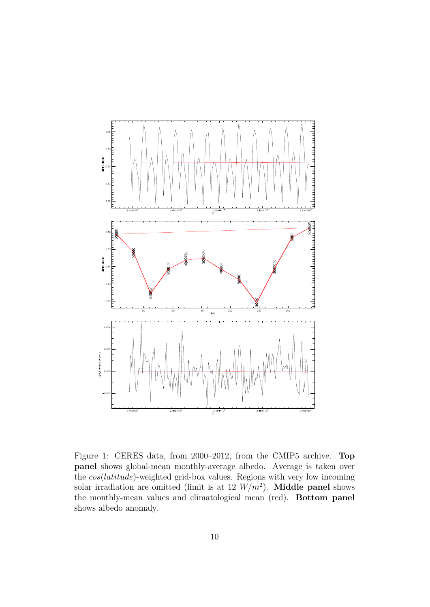

<span id="page-9-0"></span>Figure 1: CERES data, from 2000–2012, from the CMIP5 archive. Top panel shows global-mean monthly-average albedo. Average is taken over the cos(latitude)-weighted grid-box values. Regions with very low incoming solar irradiation are omitted (limit is at 12  $W/m^2$ ). Middle panel shows the monthly-mean values and climatological mean (red). Bottom panel shows albedo anomaly.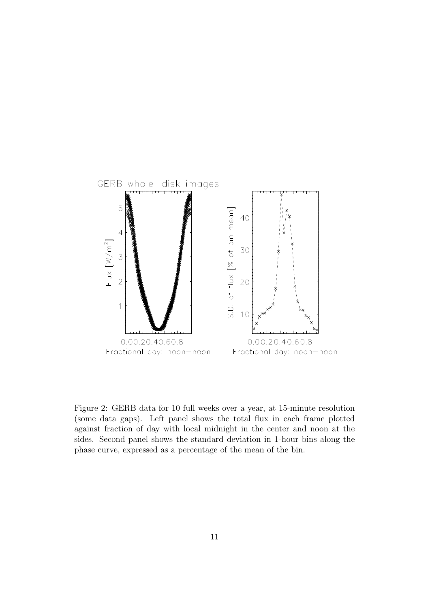

<span id="page-10-0"></span>Figure 2: GERB data for 10 full weeks over a year, at 15-minute resolution (some data gaps). Left panel shows the total flux in each frame plotted against fraction of day with local midnight in the center and noon at the sides. Second panel shows the standard deviation in 1-hour bins along the phase curve, expressed as a percentage of the mean of the bin.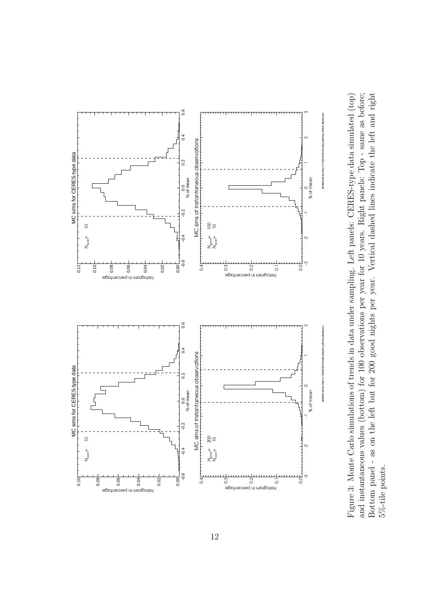

<span id="page-11-0"></span>